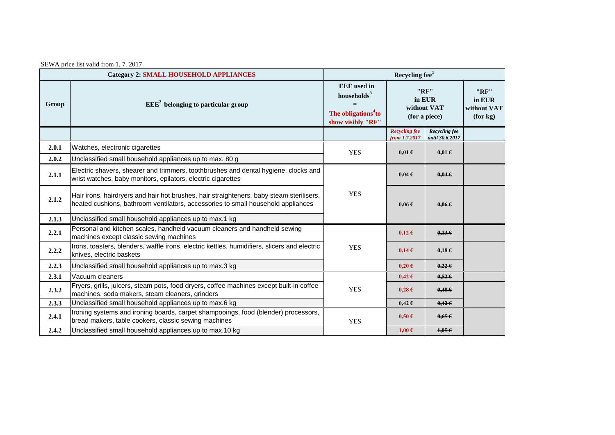| SEWA price list valid from 1.7.2017 |
|-------------------------------------|
|                                     |

| <b>Category 2: SMALL HOUSEHOLD APPLIANCES</b> |                                                                                                                                                                              | Recycling fee <sup>1</sup>                                                                            |                                                |                                  |                                           |
|-----------------------------------------------|------------------------------------------------------------------------------------------------------------------------------------------------------------------------------|-------------------------------------------------------------------------------------------------------|------------------------------------------------|----------------------------------|-------------------------------------------|
| Group                                         | $EEE2$ belonging to particular group                                                                                                                                         | <b>EEE</b> used in<br>households <sup>3</sup><br>The obligations <sup>4</sup> to<br>show visibly "RF" | "RF"<br>in EUR<br>without VAT<br>(for a piece) |                                  | "RF"<br>in EUR<br>without VAT<br>(for kg) |
|                                               |                                                                                                                                                                              |                                                                                                       | <b>Recycling fee</b><br>from 1.7.2017          | Recycling fee<br>until 30.6.2017 |                                           |
| 2.0.1                                         | Watches, electronic cigarettes                                                                                                                                               | <b>YES</b>                                                                                            | $0.01 \text{ }\epsilon$                        | $0.01 \epsilon$                  |                                           |
| 2.0.2                                         | Unclassified small household appliances up to max. 80 g                                                                                                                      |                                                                                                       |                                                |                                  |                                           |
| 2.1.1                                         | Electric shavers, shearer and trimmers, toothbrushes and dental hygiene, clocks and<br>wrist watches, baby monitors, epilators, electric cigarettes                          | <b>YES</b>                                                                                            | $0.04 \text{ }\epsilon$                        | $0.04 \in$                       |                                           |
| 2.1.2                                         | Hair irons, hairdryers and hair hot brushes, hair straighteners, baby steam sterilisers,<br>heated cushions, bathroom ventilators, accessories to small household appliances |                                                                                                       | $0.06 \text{ } \in$                            | $0.06 \in$                       |                                           |
| 2.1.3                                         | Unclassified small household appliances up to max.1 kg                                                                                                                       |                                                                                                       |                                                |                                  |                                           |
| 2.2.1                                         | Personal and kitchen scales, handheld vacuum cleaners and handheld sewing<br>machines except classic sewing machines                                                         | <b>YES</b>                                                                                            | $0,12 \in$                                     | 0,136                            |                                           |
| 2.2.2                                         | Irons, toasters, blenders, waffle irons, electric kettles, humidifiers, slicers and electric<br>knives, electric baskets                                                     |                                                                                                       | $0,14 \in$                                     | 0,186                            |                                           |
| 2.2.3                                         | Unclassified small household appliances up to max.3 kg                                                                                                                       |                                                                                                       | $0,20 \in$                                     | $0,22 \in$                       |                                           |
| 2.3.1                                         | Vacuum cleaners                                                                                                                                                              |                                                                                                       | $0,42 \in$                                     | $0,52 \in$                       |                                           |
| 2.3.2                                         | Fryers, grills, juicers, steam pots, food dryers, coffee machines except built-in coffee<br>machines, soda makers, steam cleaners, grinders                                  | <b>YES</b>                                                                                            | $0,28 \in$                                     | $0,40 \in$                       |                                           |
| 2.3.3                                         | Unclassified small household appliances up to max.6 kg                                                                                                                       |                                                                                                       | $0,42 \in$                                     | $0.42 \epsilon$                  |                                           |
| 2.4.1                                         | Ironing systems and ironing boards, carpet shampooings, food (blender) processors,<br>bread makers, table cookers, classic sewing machines                                   | <b>YES</b>                                                                                            | $0,50 \in$                                     | $0,65 \in$                       |                                           |
| 2.4.2                                         | Unclassified small household appliances up to max.10 kg                                                                                                                      |                                                                                                       | $1,00 \in$                                     | 1,056                            |                                           |